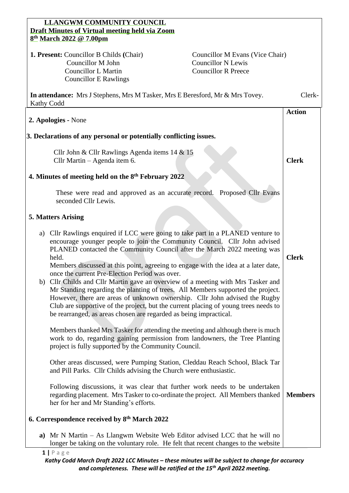## **LLANGWM COMMUNITY COUNCIL Draft Minutes of Virtual meeting held via Zoom 8 th March 2022 @ 7.00pm**

**1. Present:** Councillor B Childs **(Chair) Councillor M Evans (Vice Chair) Councillor M John Councillor N Lewis**  Councillor L Martin Councillor R Preece Councillor E Rawlings

|                                                                    | Kathy Codd                                                                                                                                                                                                                                                                                                                                                                                                                                                                                                                                                                                                                                                                                                                                                                                                |                |
|--------------------------------------------------------------------|-----------------------------------------------------------------------------------------------------------------------------------------------------------------------------------------------------------------------------------------------------------------------------------------------------------------------------------------------------------------------------------------------------------------------------------------------------------------------------------------------------------------------------------------------------------------------------------------------------------------------------------------------------------------------------------------------------------------------------------------------------------------------------------------------------------|----------------|
| 2. Apologies - None                                                |                                                                                                                                                                                                                                                                                                                                                                                                                                                                                                                                                                                                                                                                                                                                                                                                           | <b>Action</b>  |
| 3. Declarations of any personal or potentially conflicting issues. |                                                                                                                                                                                                                                                                                                                                                                                                                                                                                                                                                                                                                                                                                                                                                                                                           |                |
|                                                                    | Cllr John & Cllr Rawlings Agenda items 14 & 15<br>Cllr Martin – Agenda item 6.                                                                                                                                                                                                                                                                                                                                                                                                                                                                                                                                                                                                                                                                                                                            | <b>Clerk</b>   |
| 4. Minutes of meeting held on the 8 <sup>th</sup> February 2022    |                                                                                                                                                                                                                                                                                                                                                                                                                                                                                                                                                                                                                                                                                                                                                                                                           |                |
|                                                                    | These were read and approved as an accurate record. Proposed Cllr Evans<br>seconded Cllr Lewis.                                                                                                                                                                                                                                                                                                                                                                                                                                                                                                                                                                                                                                                                                                           |                |
| <b>5. Matters Arising</b>                                          |                                                                                                                                                                                                                                                                                                                                                                                                                                                                                                                                                                                                                                                                                                                                                                                                           |                |
|                                                                    | a) Cllr Rawlings enquired if LCC were going to take part in a PLANED venture to<br>encourage younger people to join the Community Council. Cllr John advised<br>PLANED contacted the Community Council after the March 2022 meeting was<br>held.<br>Members discussed at this point, agreeing to engage with the idea at a later date,<br>once the current Pre-Election Period was over.<br>b) Cllr Childs and Cllr Martin gave an overview of a meeting with Mrs Tasker and<br>Mr Standing regarding the planting of trees. All Members supported the project.<br>However, there are areas of unknown ownership. Cllr John advised the Rugby<br>Club are supportive of the project, but the current placing of young trees needs to<br>be rearranged, as areas chosen are regarded as being impractical. | <b>Clerk</b>   |
|                                                                    | Members thanked Mrs Tasker for attending the meeting and although there is much<br>work to do, regarding gaining permission from landowners, the Tree Planting<br>project is fully supported by the Community Council.                                                                                                                                                                                                                                                                                                                                                                                                                                                                                                                                                                                    |                |
|                                                                    | Other areas discussed, were Pumping Station, Cleddau Reach School, Black Tar<br>and Pill Parks. Cllr Childs advising the Church were enthusiastic.                                                                                                                                                                                                                                                                                                                                                                                                                                                                                                                                                                                                                                                        |                |
|                                                                    | Following discussions, it was clear that further work needs to be undertaken<br>regarding placement. Mrs Tasker to co-ordinate the project. All Members thanked<br>her for her and Mr Standing's efforts.                                                                                                                                                                                                                                                                                                                                                                                                                                                                                                                                                                                                 | <b>Members</b> |
| 6. Correspondence received by 8 <sup>th</sup> March 2022           |                                                                                                                                                                                                                                                                                                                                                                                                                                                                                                                                                                                                                                                                                                                                                                                                           |                |
| a)                                                                 | $Mr N Martin - As Llangwm Website Web Editor advised LCC that he will no$<br>longer be taking on the voluntary role. He felt that recent changes to the website                                                                                                                                                                                                                                                                                                                                                                                                                                                                                                                                                                                                                                           |                |

**In attendance:** Mrs J Stephens, Mrs M Tasker, Mrs E Beresford, Mr & Mrs Tovey. Clerk-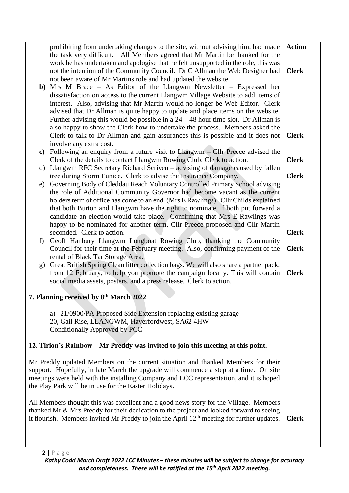| prohibiting from undertaking changes to the site, without advising him, had made<br>the task very difficult. All Members agreed that Mr Martin be thanked for the | <b>Action</b> |  |  |
|-------------------------------------------------------------------------------------------------------------------------------------------------------------------|---------------|--|--|
| work he has undertaken and apologise that he felt unsupported in the role, this was                                                                               |               |  |  |
| not the intention of the Community Council. Dr C Allman the Web Designer had                                                                                      | <b>Clerk</b>  |  |  |
| not been aware of Mr Martins role and had updated the website.                                                                                                    |               |  |  |
| b) Mrs M Brace - As Editor of the Llangwm Newsletter - Expressed her                                                                                              |               |  |  |
| dissatisfaction on access to the current Llangwm Village Website to add items of                                                                                  |               |  |  |
| interest. Also, advising that Mr Martin would no longer be Web Editor. Clerk                                                                                      |               |  |  |
| advised that Dr Allman is quite happy to update and place items on the website.                                                                                   |               |  |  |
| Further advising this would be possible in a $24 - 48$ hour time slot. Dr Allman is                                                                               |               |  |  |
| also happy to show the Clerk how to undertake the process. Members asked the                                                                                      |               |  |  |
|                                                                                                                                                                   | <b>Clerk</b>  |  |  |
| Clerk to talk to Dr Allman and gain assurances this is possible and it does not                                                                                   |               |  |  |
| involve any extra cost.                                                                                                                                           |               |  |  |
| Following an enquiry from a future visit to Llangwm – Cllr Preece advised the<br>$\mathbf{c})$                                                                    |               |  |  |
| Clerk of the details to contact Llangwm Rowing Club. Clerk to action.                                                                                             | <b>Clerk</b>  |  |  |
| d) Llangwm RFC Secretary Richard Scriven – advising of damage caused by fallen                                                                                    |               |  |  |
| tree during Storm Eunice. Clerk to advise the Insurance Company.                                                                                                  | <b>Clerk</b>  |  |  |
| Governing Body of Cleddau Reach Voluntary Controlled Primary School advising<br>e)                                                                                |               |  |  |
| the role of Additional Community Governor had become vacant as the current                                                                                        |               |  |  |
| holders term of office has come to an end. (Mrs E Rawlings). Cllr Childs explained                                                                                |               |  |  |
| that both Burton and Llangwm have the right to nominate, if both put forward a                                                                                    |               |  |  |
| candidate an election would take place. Confirming that Mrs E Rawlings was                                                                                        |               |  |  |
| happy to be nominated for another term, Cllr Preece proposed and Cllr Martin                                                                                      |               |  |  |
| seconded. Clerk to action.                                                                                                                                        | <b>Clerk</b>  |  |  |
| Geoff Hanbury Llangwm Longboat Rowing Club, thanking the Community<br>f)                                                                                          |               |  |  |
| Council for their time at the February meeting. Also, confirming payment of the                                                                                   | <b>Clerk</b>  |  |  |
| rental of Black Tar Storage Area.                                                                                                                                 |               |  |  |
| Great British Spring Clean litter collection bags. We will also share a partner pack,<br>g)                                                                       |               |  |  |
| from 12 February, to help you promote the campaign locally. This will contain                                                                                     | <b>Clerk</b>  |  |  |
| social media assets, posters, and a press release. Clerk to action.                                                                                               |               |  |  |
| 7. Planning received by 8th March 2022                                                                                                                            |               |  |  |
|                                                                                                                                                                   |               |  |  |
| a) 21/0900/PA Proposed Side Extension replacing existing garage                                                                                                   |               |  |  |
| 20, Gail Rise, LLANGWM, Haverfordwest, SA62 4HW                                                                                                                   |               |  |  |
| <b>Conditionally Approved by PCC</b>                                                                                                                              |               |  |  |
| 12. Tirion's Rainbow – Mr Preddy was invited to join this meeting at this point.                                                                                  |               |  |  |
|                                                                                                                                                                   |               |  |  |
| Mr Preddy updated Members on the current situation and thanked Members for their                                                                                  |               |  |  |
| support. Hopefully, in late March the upgrade will commence a step at a time. On site                                                                             |               |  |  |
| meetings were held with the installing Company and LCC representation, and it is hoped                                                                            |               |  |  |
| the Play Park will be in use for the Easter Holidays.                                                                                                             |               |  |  |
|                                                                                                                                                                   |               |  |  |
| All Members thought this was excellent and a good news story for the Village. Members                                                                             |               |  |  |
| thanked Mr & Mrs Preddy for their dedication to the project and looked forward to seeing                                                                          |               |  |  |
| it flourish. Members invited Mr Preddy to join the April 12 <sup>th</sup> meeting for further updates.                                                            | <b>Clerk</b>  |  |  |
|                                                                                                                                                                   |               |  |  |
|                                                                                                                                                                   |               |  |  |
|                                                                                                                                                                   |               |  |  |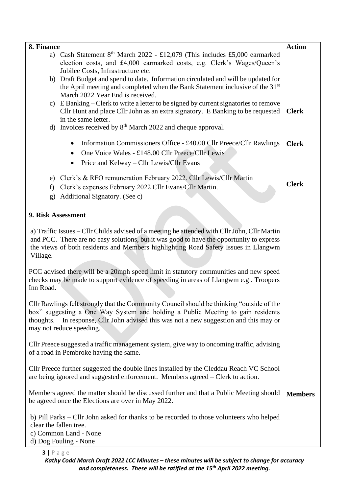| 8. Finance                                                                                                                                                             | <b>Action</b>  |
|------------------------------------------------------------------------------------------------------------------------------------------------------------------------|----------------|
| a) Cash Statement 8 <sup>th</sup> March 2022 - £12,079 (This includes £5,000 earmarked<br>election costs, and £4,000 earmarked costs, e.g. Clerk's Wages/Queen's       |                |
| Jubilee Costs, Infrastructure etc.                                                                                                                                     |                |
| b) Draft Budget and spend to date. Information circulated and will be updated for                                                                                      |                |
| the April meeting and completed when the Bank Statement inclusive of the 31 <sup>st</sup>                                                                              |                |
| March 2022 Year End is received.                                                                                                                                       |                |
| c) E Banking – Clerk to write a letter to be signed by current signatories to remove<br>Cllr Hunt and place Cllr John as an extra signatory. E Banking to be requested | <b>Clerk</b>   |
| in the same letter.                                                                                                                                                    |                |
| d) Invoices received by $8th$ March 2022 and cheque approval.                                                                                                          |                |
| Information Commissioners Office - £40.00 Cllr Preece/Cllr Rawlings                                                                                                    | <b>Clerk</b>   |
| One Voice Wales - £148.00 Cllr Preece/Cllr Lewis                                                                                                                       |                |
| Price and Kelway – Cllr Lewis/Cllr Evans<br>$\bullet$                                                                                                                  |                |
| e) Clerk's & RFO remuneration February 2022. Cllr Lewis/Cllr Martin                                                                                                    |                |
| Clerk's expenses February 2022 Cllr Evans/Cllr Martin.<br>f                                                                                                            | <b>Clerk</b>   |
| Additional Signatory. (See c)<br>g)                                                                                                                                    |                |
| 9. Risk Assessment                                                                                                                                                     |                |
|                                                                                                                                                                        |                |
| a) Traffic Issues – Cllr Childs advised of a meeting he attended with Cllr John, Cllr Martin                                                                           |                |
| and PCC. There are no easy solutions, but it was good to have the opportunity to express                                                                               |                |
| the views of both residents and Members highlighting Road Safety Issues in Llangwm<br>Village.                                                                         |                |
|                                                                                                                                                                        |                |
| PCC advised there will be a 20mph speed limit in statutory communities and new speed                                                                                   |                |
| checks may be made to support evidence of speeding in areas of Llangwm e.g. Troopers                                                                                   |                |
| Inn Road.                                                                                                                                                              |                |
| Cllr Rawlings felt strongly that the Community Council should be thinking "outside of the                                                                              |                |
| box" suggesting a One Way System and holding a Public Meeting to gain residents                                                                                        |                |
| In response, Cllr John advised this was not a new suggestion and this may or<br>thoughts.                                                                              |                |
| may not reduce speeding.                                                                                                                                               |                |
| Cllr Preece suggested a traffic management system, give way to oncoming traffic, advising                                                                              |                |
| of a road in Pembroke having the same.                                                                                                                                 |                |
| Cllr Preece further suggested the double lines installed by the Cleddau Reach VC School                                                                                |                |
| are being ignored and suggested enforcement. Members agreed – Clerk to action.                                                                                         |                |
| Members agreed the matter should be discussed further and that a Public Meeting should                                                                                 | <b>Members</b> |
| be agreed once the Elections are over in May 2022.                                                                                                                     |                |
| b) Pill Parks – Cllr John asked for thanks to be recorded to those volunteers who helped                                                                               |                |
| clear the fallen tree.                                                                                                                                                 |                |
| c) Common Land - None                                                                                                                                                  |                |
| d) Dog Fouling - None                                                                                                                                                  |                |

**3 |** P a g e

*Kathy Codd March Draft 2022 LCC Minutes – these minutes will be subject to change for accuracy and completeness. These will be ratified at the 15th April 2022 meeting.*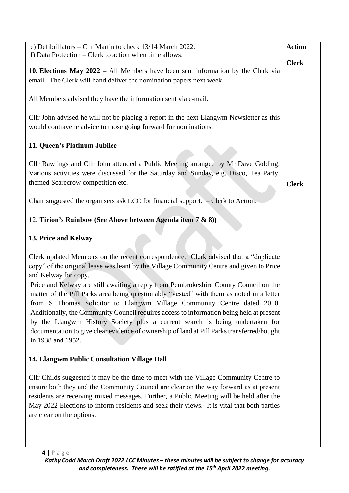| e) Defibrillators - Cllr Martin to check 13/14 March 2022.                                                                                                                                                                                                                                                                                                                                                                                                                                                                                                 | <b>Action</b> |
|------------------------------------------------------------------------------------------------------------------------------------------------------------------------------------------------------------------------------------------------------------------------------------------------------------------------------------------------------------------------------------------------------------------------------------------------------------------------------------------------------------------------------------------------------------|---------------|
| f) Data Protection – Clerk to action when time allows.                                                                                                                                                                                                                                                                                                                                                                                                                                                                                                     |               |
| 10. Elections May $2022 - Al$ Members have been sent information by the Clerk via<br>email. The Clerk will hand deliver the nomination papers next week.                                                                                                                                                                                                                                                                                                                                                                                                   | <b>Clerk</b>  |
| All Members advised they have the information sent via e-mail.                                                                                                                                                                                                                                                                                                                                                                                                                                                                                             |               |
| Cllr John advised he will not be placing a report in the next Llangwm Newsletter as this<br>would contravene advice to those going forward for nominations.                                                                                                                                                                                                                                                                                                                                                                                                |               |
| 11. Queen's Platinum Jubilee                                                                                                                                                                                                                                                                                                                                                                                                                                                                                                                               |               |
| Cllr Rawlings and Cllr John attended a Public Meeting arranged by Mr Dave Golding.<br>Various activities were discussed for the Saturday and Sunday, e.g. Disco, Tea Party,<br>themed Scarecrow competition etc.                                                                                                                                                                                                                                                                                                                                           | <b>Clerk</b>  |
| Chair suggested the organisers ask LCC for financial support. - Clerk to Action.                                                                                                                                                                                                                                                                                                                                                                                                                                                                           |               |
| 12. Tirion's Rainbow (See Above between Agenda item 7 & 8))                                                                                                                                                                                                                                                                                                                                                                                                                                                                                                |               |
| 13. Price and Kelway                                                                                                                                                                                                                                                                                                                                                                                                                                                                                                                                       |               |
| Clerk updated Members on the recent correspondence. Clerk advised that a "duplicate"<br>copy" of the original lease was leant by the Village Community Centre and given to Price<br>and Kelway for copy.                                                                                                                                                                                                                                                                                                                                                   |               |
| Price and Kelway are still awaiting a reply from Pembrokeshire County Council on the<br>matter of the Pill Parks area being questionably "vested" with them as noted in a letter<br>from S Thomas Solicitor to Llangwm Village Community Centre dated 2010.<br>Additionally, the Community Council requires access to information being held at present<br>by the Llangwm History Society plus a current search is being undertaken for<br>documentation to give clear evidence of ownership of land at Pill Parks transferred/bought<br>in 1938 and 1952. |               |
| 14. Llangwm Public Consultation Village Hall                                                                                                                                                                                                                                                                                                                                                                                                                                                                                                               |               |
| Cllr Childs suggested it may be the time to meet with the Village Community Centre to<br>ensure both they and the Community Council are clear on the way forward as at present<br>residents are receiving mixed messages. Further, a Public Meeting will be held after the<br>May 2022 Elections to inform residents and seek their views. It is vital that both parties<br>are clear on the options.                                                                                                                                                      |               |
|                                                                                                                                                                                                                                                                                                                                                                                                                                                                                                                                                            |               |
| $4   P \text{age}$                                                                                                                                                                                                                                                                                                                                                                                                                                                                                                                                         |               |

*Kathy Codd March Draft 2022 LCC Minutes – these minutes will be subject to change for accuracy and completeness. These will be ratified at the 15th April 2022 meeting.*